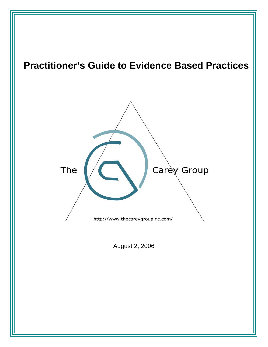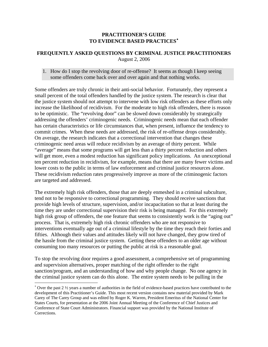## **PRACTITIONER'S GUIDE TO EVIDENCE BASED PRACTICES**[∗](#page-1-0)

## **FREQUENTLY ASKED QUESTIONS BY CRIMINAL JUSTICE PRACTITIONERS**  August 2, 2006

## 1. How do I stop the revolving door of re-offense? It seems as though I keep seeing some offenders come back over and over again and that nothing works.

Some offenders are truly chronic in their anti-social behavior. Fortunately, they represent a small percent of the total offenders handled by the justice system. The research is clear that the justice system should not attempt to intervene with low risk offenders as these efforts only increase the likelihood of recidivism. For the moderate to high risk offenders, there is reason to be optimistic. The "revolving door" can be slowed down considerably by strategically addressing the offenders' criminogenic needs. Criminogenic needs mean that each offender has certain characteristics or life circumstances that, when present, influence the tendency to commit crimes. When these needs are addressed, the risk of re-offense drops considerably. On average, the research indicates that a correctional intervention that changes these criminogenic need areas will reduce recidivism by an average of thirty percent. While "average" means that some programs will get less than a thirty percent reduction and others will get more, even a modest reduction has significant policy implications. An unexceptional ten percent reduction in recidivism, for example, means that there are many fewer victims and lower costs to the public in terms of law enforcement and criminal justice resources alone. These recidivism reduction rates progressively improve as more of the criminogenic factors are targeted and addressed.

The extremely high risk offenders, those that are deeply enmeshed in a criminal subculture, tend not to be responsive to correctional programming. They should receive sanctions that provide high levels of structure, supervision, and/or incapacitation so that at least during the time they are under correctional supervision their risk is being managed. For this extremely high risk group of offenders, the one feature that seems to consistently work is the "aging out" process. That is, extremely high risk chronic offenders who are not responsive to interventions eventually age out of a criminal lifestyle by the time they reach their forties and fifties. Although their values and attitudes likely will not have changed, they grow tired of the hassle from the criminal justice system. Getting these offenders to an older age without consuming too many resources or putting the public at risk is a reasonable goal.

To stop the revolving door requires a good assessment, a comprehensive set of programming and supervision alternatives, proper matching of the right offender to the right sanction/program, and an understanding of how and why people change. No one agency in the criminal justice system can do this alone. The entire system needs to be pulling in the

 $\overline{\phantom{a}}$ 

<span id="page-1-0"></span><sup>∗</sup> Over the past 2 ½ years a number of authorities in the field of evidence-based practices have contributed to the development of this Practitioner's Guide. This most recent version contains new material provided by Mark Carey of The Carey Group and was edited by Roger K. Warren, President Emeritus of the National Center for States Courts, for presentation at the 2006 Joint Annual Meeting of the Conference of Chief Justices and Conference of State Court Administrators. Financial support was provided by the National Institute of Corrections.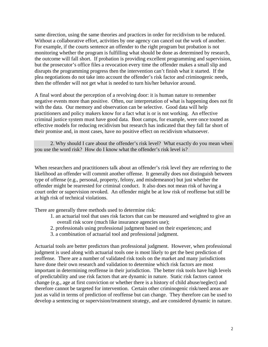same direction, using the same theories and practices in order for recidivism to be reduced. Without a collaborative effort, activities by one agency can cancel out the work of another. For example, if the courts sentence an offender to the right program but probation is not monitoring whether the program is fulfilling what should be done as determined by research, the outcome will fall short. If probation is providing excellent programming and supervision, but the prosecutor's office files a revocation every time the offender makes a small slip and disrupts the programming progress then the intervention can't finish what it started. If the plea negotiations do not take into account the offender's risk factor and criminogenic needs, then the offender will not get what is needed to turn his/her behavior around.

A final word about the perception of a revolving door: it is human nature to remember negative events more than positive. Often, our interpretation of what is happening does not fit with the data. Our memory and observation can be selective. Good data will help practitioners and policy makers know for a fact what is or is not working. An effective criminal justice system must have good data. Boot camps, for example, were once touted as effective models for reducing recidivism but research has indicated that they fall far short of their promise and, in most cases, have no positive effect on recidivism whatsoever.

 2. Why should I care about the offender's risk level? What exactly do you mean when you use the word risk? How do I know what the offender's risk level is?

When researchers and practitioners talk about an offender's risk level they are referring to the likelihood an offender will commit another offense. It generally does not distinguish between type of offense (e.g., personal, property, felony, and misdemeanor) but just whether the offender might be rearrested for criminal conduct. It also does not mean risk of having a court order or supervision revoked. An offender might be at low risk of reoffense but still be at high risk of technical violations.

There are generally three methods used to determine risk:

- 1. an actuarial tool that uses risk factors that can be measured and weighted to give an overall risk score (much like insurance agencies use);
- 2. professionals using professional judgment based on their experiences; and
- 3. a combination of actuarial tool and professional judgment.

Actuarial tools are better predictors than professional judgment. However, when professional judgment is used along with actuarial tools one is most likely to get the best prediction of reoffense. There are a number of validated risk tools on the market and many jurisdictions have done their own research and validation to determine which risk factors are most important in determining reoffense in their jurisdiction. The better risk tools have high levels of predictability and use risk factors that are dynamic in nature. Static risk factors cannot change (e.g., age at first conviction or whether there is a history of child abuse/neglect) and therefore cannot be targeted for intervention. Certain other criminogenic risk/need areas are just as valid in terms of prediction of reoffense but can change. They therefore can be used to develop a sentencing or supervision/treatment strategy, and are considered dynamic in nature.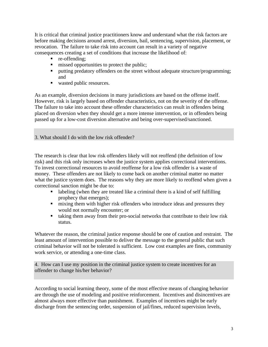It is critical that criminal justice practitioners know and understand what the risk factors are before making decisions around arrest, diversion, bail, sentencing, supervision, placement, or revocation. The failure to take risk into account can result in a variety of negative consequences creating a set of conditions that increase the likelihood of:

- **r** re-offending;
- $\blacksquare$  missed opportunities to protect the public;
- **P** putting predatory offenders on the street without adequate structure/programming; and
- wasted public resources.

As an example, diversion decisions in many jurisdictions are based on the offense itself. However, risk is largely based on offender characteristics, not on the severity of the offense. The failure to take into account these offender characteristics can result in offenders being placed on diversion when they should get a more intense intervention, or in offenders being passed up for a low-cost diversion alternative and being over-supervised/sanctioned.

3. What should I do with the low risk offender?

The research is clear that low risk offenders likely will not reoffend (the definition of low risk) and this risk only increases when the justice system applies correctional interventions. To invest correctional resources to avoid reoffense for a low risk offender is a waste of money. These offenders are not likely to come back on another criminal matter no matter what the justice system does. The reasons why they are more likely to reoffend when given a correctional sanction might be due to:

- labeling (when they are treated like a criminal there is a kind of self fulfilling prophecy that emerges);
- $\blacksquare$  mixing them with higher risk offenders who introduce ideas and pressures they would not normally encounter; or
- taking them away from their pro-social networks that contribute to their low risk status.

Whatever the reason, the criminal justice response should be one of caution and restraint. The least amount of intervention possible to deliver the message to the general public that such criminal behavior will not be tolerated is sufficient. Low cost examples are fines, community work service, or attending a one-time class.

4. How can I use my position in the criminal justice system to create incentives for an offender to change his/her behavior?

According to social learning theory, some of the most effective means of changing behavior are through the use of modeling and positive reinforcement. Incentives and disincentives are almost always more effective than punishment. Examples of incentives might be early discharge from the sentencing order, suspension of jail/fines, reduced supervision levels,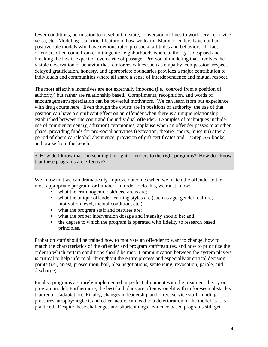fewer conditions, permission to travel out of state, conversion of fines to work service or vice versa, etc. Modeling is a critical feature in how we learn. Many offenders have not had positive role models who have demonstrated pro-social attitudes and behaviors. In fact, offenders often come from criminogenic neighborhoods where authority is despised and breaking the law is expected, even a rite of passage. Pro-social modeling that involves the visible observation of behavior that reinforces values such as empathy, compassion, respect, delayed gratification, honesty, and appropriate boundaries provides a major contribution to individuals and communities where all share a sense of interdependence and mutual respect.

The most effective incentives are not externally imposed (i.e., coerced from a position of authority) but rather are relationship based. Compliments, recognition, and words of encouragement/appreciation can be powerful motivators. We can learn from our experience with drug courts here. Even though the courts are in positions of authority, the use of that position can have a significant effect on an offender when there is a unique relationship established between the court and the individual offender. Examples of techniques include use of commencement (graduation) ceremonies, applause when an offender passes to another phase, providing funds for pro-social activities (recreation, theatre, sports, museum) after a period of chemical/alcohol abstinence, provision of gift certificates and 12 Step AA books, and praise from the bench.

5. How do I know that I'm sending the right offenders to the right programs? How do I know that these programs are effective?

We know that we can dramatically improve outcomes when we match the offender to the most appropriate program for him/her. In order to do this, we must know:

- what the criminogenic risk/need areas are;
- what the unique offender learning styles are (such as age, gender, culture, motivation level, mental condition, etc.);
- what the program staff and features are;
- what the proper intervention dosage and intensity should be; and
- $\blacksquare$  the degree to which the program is operated with fidelity to research based principles.

Probation staff should be trained how to motivate an offender to want to change, how to match the characteristics of the offender and program staff/features, and how to prioritize the order in which certain conditions should be met. Communication between the system players is critical to help inform all throughout the entire process and especially at critical decision points (i.e., arrest, prosecution, bail, plea negotiations, sentencing, revocation, parole, and discharge).

Finally, programs are rarely implemented in perfect alignment with the treatment theory or program model. Furthermore, the best-laid plans are often wrought with unforeseen obstacles that require adaptation. Finally, changes in leadership and direct service staff, funding pressures, atrophy/neglect, and other factors can lead to a deterioration of the model as it is practiced. Despite these challenges and shortcomings, evidence based programs still get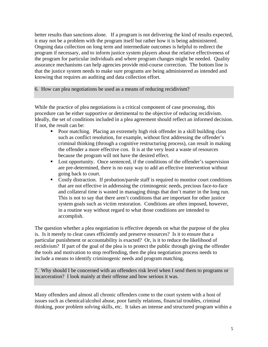better results than sanctions alone. If a program is not delivering the kind of results expected, it may not be a problem with the program itself but rather how it is being administered. Ongoing data collection on long term and intermediate outcomes is helpful to redirect the program if necessary, and to inform justice system players about the relative effectiveness of the program for particular individuals and where program changes might be needed. Quality assurance mechanisms can help agencies provide mid-course correction. The bottom line is that the justice system needs to make sure programs are being administered as intended and knowing that requires an auditing and data collection effort.

6. How can plea negotiations be used as a means of reducing recidivism?

While the practice of plea negotiations is a critical component of case processing, this procedure can be either supportive or detrimental to the objective of reducing recidivism. Ideally, the set of conditions included in a plea agreement should reflect an informed decision. If not, the result can be:

- Poor matching. Placing an extremely high risk offender in a skill building class such as conflict resolution, for example, without first addressing the offender's criminal thinking (through a cognitive restructuring process), can result in making the offender a more effective con. It is at the very least a waste of resources because the program will not have the desired effect.
- Lost opportunity. Once sentenced, if the conditions of the offender's supervision are pre-determined, there is no easy way to add an effective intervention without going back to court.
- Costly distraction. If probation/parole staff is required to monitor court conditions that are not effective in addressing the criminogenic needs, precious face-to-face and collateral time is wasted in managing things that don't matter in the long run. This is not to say that there aren't conditions that are important for other justice system goals such as victim restoration. Conditions are often imposed, however, in a routine way without regard to what those conditions are intended to accomplish.

The question whether a plea negotiation is effective depends on what the purpose of the plea is. Is it merely to clear cases efficiently and preserve resources? Is it to ensure that a particular punishment or accountability is exacted? Or, is it to reduce the likelihood of recidivism? If part of the goal of the plea is to protect the public through giving the offender the tools and motivation to stop reoffending, then the plea negotiation process needs to include a means to identify criminogenic needs and program matching.

7. Why should I be concerned with an offenders risk level when I send them to programs or incarceration? I look mainly at their offense and how serious it was.

Many offenders and almost all chronic offenders come to the court system with a host of issues such as chemical/alcohol abuse, poor family relations, financial troubles, criminal thinking, poor problem solving skills, etc. It takes an intense and structured program within a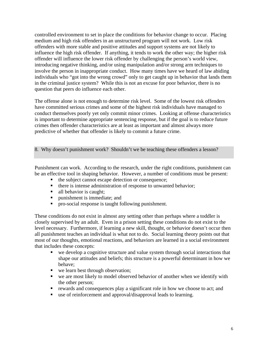controlled environment to set in place the conditions for behavior change to occur. Placing medium and high risk offenders in an unstructured program will not work. Low risk offenders with more stable and positive attitudes and support systems are not likely to influence the high risk offender. If anything, it tends to work the other way; the higher risk offender will influence the lower risk offender by challenging the person's world view, introducing negative thinking, and/or using manipulation and/or strong arm techniques to involve the person in inappropriate conduct. How many times have we heard of law abiding individuals who "got into the wrong crowd" only to get caught up in behavior that lands them in the criminal justice system? While this is not an excuse for poor behavior, there is no question that peers do influence each other.

The offense alone is not enough to determine risk level. Some of the lowest risk offenders have committed serious crimes and some of the highest risk individuals have managed to conduct themselves poorly yet only commit minor crimes. Looking at offense characteristics is important to determine appropriate sentencing response, but if the goal is to reduce future crimes then offender characteristics are at least as important and almost always more predictive of whether that offender is likely to commit a future crime.

8. Why doesn't punishment work? Shouldn't we be teaching these offenders a lesson?

Punishment can work. According to the research, under the right conditions, punishment can be an effective tool in shaping behavior. However, a number of conditions must be present:

- the subject cannot escape detection or consequence;
- $\blacksquare$  there is intense administration of response to unwanted behavior;
- all behavior is caught:
- **P** punishment is immediate; and
- pro-social response is taught following punishment.

These conditions do not exist in almost any setting other than perhaps where a toddler is closely supervised by an adult. Even in a prison setting these conditions do not exist to the level necessary. Furthermore, if learning a new skill, thought, or behavior doesn't occur then all punishment teaches an individual is what not to do. Social learning theory points out that most of our thoughts, emotional reactions, and behaviors are learned in a social environment that includes these concepts:

- we develop a cognitive structure and value system through social interactions that shape our attitudes and beliefs; this structure is a powerful determinant in how we behave;
- we learn best through observation;
- we are most likely to model observed behavior of another when we identify with the other person;
- rewards and consequences play a significant role in how we choose to act; and
- use of reinforcement and approval/disapproval leads to learning.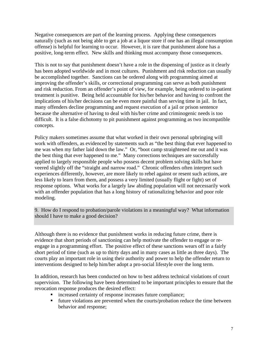Negative consequences are part of the learning process. Applying these consequences naturally (such as not being able to get a job at a liquor store if one has an illegal consumption offense) is helpful for learning to occur. However, it is rare that punishment alone has a positive, long-term effect. New skills and thinking must accompany those consequences.

This is not to say that punishment doesn't have a role in the dispensing of justice as it clearly has been adopted worldwide and in most cultures. Punishment and risk reduction can usually be accomplished together. Sanctions can be ordered along with programming aimed at improving the offender's skills, or correctional programming can serve as both punishment and risk reduction. From an offender's point of view, for example, being ordered to in-patient treatment is punitive. Being held accountable for his/her behavior and having to confront the implications of his/her decisions can be even more painful than serving time in jail. In fact, many offenders decline programming and request execution of a jail or prison sentence because the alternative of having to deal with his/her crime and criminogenic needs is too difficult. It is a false dichotomy to pit punishment against programming as two incompatible concepts.

Policy makers sometimes assume that what worked in their own personal upbringing will work with offenders, as evidenced by statements such as "the best thing that ever happened to me was when my father laid down the law." Or, "boot camp straightened me out and it was the best thing that ever happened to me." Many corrections techniques are successfully applied to largely responsible people who possess decent problem solving skills but have veered slightly off the "straight and narrow road." Chronic offenders often interpret such experiences differently, however, are more likely to rebel against or resent such actions, are less likely to learn from them, and possess a very limited (usually flight or fight) set of response options. What works for a largely law abiding population will not necessarily work with an offender population that has a long history of rationalizing behavior and poor role modeling.

9. How do I respond to probation/parole violations in a meaningful way? What information should I have to make a good decision?

Although there is no evidence that punishment works in reducing future crime, there is evidence that short periods of sanctioning can help motivate the offender to engage or reengage in a programming effort. The positive effect of these sanctions wears off in a fairly short period of time (such as up to thirty days and in many cases as little as three days). The courts play an important role in using their authority and power to help the offender return to interventions designed to help him/her adopt a pro-social lifestyle over the long term.

In addition, research has been conducted on how to best address technical violations of court supervision. The following have been determined to be important principles to ensure that the revocation response produces the desired effect:

- **EXECUTE:** increased certainty of response increases future compliance;
- **future violations are prevented when the courts/probation reduce the time between** behavior and response;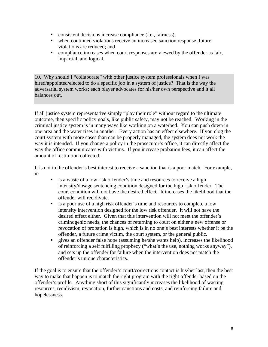- consistent decisions increase compliance (i.e., fairness);
- when continued violations receive an increased sanction response, future violations are reduced; and
- compliance increases when court responses are viewed by the offender as fair, impartial, and logical.

10. Why should I "collaborate" with other justice system professionals when I was hired/appointed/elected to do a specific job in a system of justice? That is the way the adversarial system works: each player advocates for his/her own perspective and it all balances out.

If all justice system representative simply "play their role" without regard to the ultimate outcome, then specific policy goals, like public safety, may not be reached. Working in the criminal justice system is in many ways like working on a waterbed. You can push down in one area and the water rises in another. Every action has an effect elsewhere. If you clog the court system with more cases than can be properly managed, the system does not work the way it is intended. If you change a policy in the prosecutor's office, it can directly affect the way the office communicates with victims. If you increase probation fees, it can affect the amount of restitution collected.

It is not in the offender's best interest to receive a sanction that is a poor match. For example, it:

- is a waste of a low risk offender's time and resources to receive a high intensity/dosage sentencing condition designed for the high risk offender. The court condition will not have the desired effect. It increases the likelihood that the offender will recidivate.
- is a poor use of a high risk offender's time and resources to complete a low intensity intervention designed for the low risk offender. It will not have the desired effect either. Given that this intervention will not meet the offender's criminogenic needs, the chances of returning to court on either a new offense or revocation of probation is high, which is in no one's best interests whether it be the offender, a future crime victim, the court system, or the general public.
- gives an offender false hope (assuming he/she wants help), increases the likelihood of reinforcing a self fulfilling prophecy ("what's the use, nothing works anyway"), and sets up the offender for failure when the intervention does not match the offender's unique characteristics.

If the goal is to ensure that the offender's court/corrections contact is his/her last, then the best way to make that happen is to match the right program with the right offender based on the offender's profile. Anything short of this significantly increases the likelihood of wasting resources, recidivism, revocation, further sanctions and costs, and reinforcing failure and hopelessness.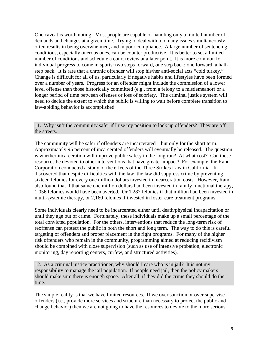One caveat is worth noting. Most people are capable of handling only a limited number of demands and changes at a given time. Trying to deal with too many issues simultaneously often results in being overwhelmed, and in poor compliance. A large number of sentencing conditions, especially onerous ones, can be counter productive. It is better to set a limited number of conditions and schedule a court review at a later point. It is more common for individual progress to come in spurts: two steps forward, one step back; one forward, a halfstep back. It is rare that a chronic offender will stop his/her anti-social acts "cold turkey." Change is difficult for all of us, particularly if negative habits and lifestyles have been formed over a number of years. Progress for an offender might include the commission of a lower level offense than those historically committed (e.g., from a felony to a misdemeanor) or a longer period of time between offenses or loss of sobriety. The criminal justice system will need to decide the extent to which the public is willing to wait before complete transition to law-abiding behavior is accomplished.

11. Why isn't the community safer if I use my position to lock up offenders? They are off the streets.

The community will be safer if offenders are incarcerated—but only for the short term. Approximately 95 percent of incarcerated offenders will eventually be released. The question is whether incarceration will improve public safety in the long run? At what cost? Can these resources be devoted to other interventions that have greater impact? For example, the Rand Corporation conducted a study of the effects of the Three Strikes Law in California. It discovered that despite difficulties with the law, the law did suppress crime by preventing sixteen felonies for every one million dollars invested in incarceration costs. However, Rand also found that if that same one million dollars had been invested in family functional therapy, 1,056 felonies would have been averted. Or 1,287 felonies if that million had been invested in multi-systemic therapy, or 2,160 felonies if invested in foster care treatment programs.

Some individuals clearly need to be incarcerated either until death/physical incapacitation or until they age out of crime. Fortunately, these individuals make up a small percentage of the total convicted population. For the others, interventions that reduce the long-term risk of reoffense can protect the public in both the short and long term. The way to do this is careful targeting of offenders and proper placement in the right programs. For many of the higher risk offenders who remain in the community, programming aimed at reducing recidivism should be combined with close supervision (such as use of intensive probation, electronic monitoring, day reporting centers, curfew, and structured activities).

12. As a criminal justice practitioner, why should I care who is in jail? It is not my responsibility to manage the jail population. If people need jail, then the policy makers should make sure there is enough space. After all, if they did the crime they should do the time.

The simple reality is that we have limited resources. If we over sanction or over supervise offenders (i.e., provide more services and structure than necessary to protect the public and change behavior) then we are not going to have the resources to devote to the more serious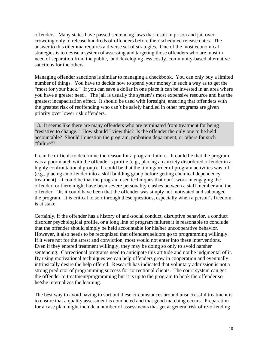offenders. Many states have passed sentencing laws that result in prison and jail overcrowding only to release hundreds of offenders before their scheduled release dates. The answer to this dilemma requires a diverse set of strategies. One of the most economical strategies is to devise a system of assessing and targeting those offenders who are most in need of separation from the public, and developing less costly, community-based alternative sanctions for the others.

Managing offender sanctions is similar to managing a checkbook. You can only buy a limited number of things. You have to decide how to spend your money in such a way as to get the "most for your buck." If you can save a dollar in one place it can be invested in an area where you have a greater need. The jail is usually the system's most expensive resource and has the greatest incapacitation effect. It should be used with foresight, ensuring that offenders with the greatest risk of reoffending who can't be safely handled in other programs are given priority over lower risk offenders.

13. It seems like there are many offenders who are terminated from treatment for being "resistive to change." How should I view this? Is the offender the only one to be held accountable? Should I question the program, probation department, or others for such "failure"?

It can be difficult to determine the reason for a program failure. It could be that the program was a poor match with the offender's profile (e.g., placing an anxiety disordered offender in a highly confrontational group). It could be that the timing/order of program activities was off (e.g., placing an offender into a skill building group before getting chemical dependency treatment). It could be that the program used techniques that don't work in engaging the offender, or there might have been severe personality clashes between a staff member and the offender. Or, it could have been that the offender was simply not motivated and sabotaged the program. It is critical to sort through these questions, especially when a person's freedom is at stake.

Certainly, if the offender has a history of anti-social conduct, disruptive behavior, a conduct disorder psychological profile, or a long line of program failures it is reasonable to conclude that the offender should simply be held accountable for his/her uncooperative behavior. However, it also needs to be recognized that offenders seldom go to programming willingly. If it were not for the arrest and conviction, most would not enter into these interventions. Even if they entered treatment willingly, they may be doing so only to avoid harsher sentencing. Correctional programs need to anticipate this attitude and not be judgmental of it. By using motivational techniques we can help offenders grow in cooperation and eventually intrinsically desire the help offered. Research has indicated that voluntary admission is not a strong predictor of programming success for correctional clients. The court system can get the offender to treatment/programming but it is up to the program to hook the offender so he/she internalizes the learning.

The best way to avoid having to sort out these circumstances around unsuccessful treatment is to ensure that a quality assessment is conducted and that good matching occurs. Preparation for a case plan might include a number of assessments that get at general risk of re-offending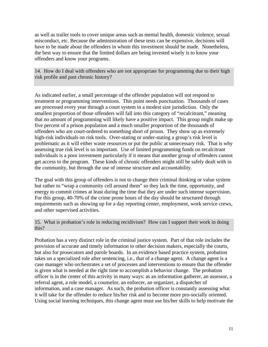as well as trailer tools to cover unique areas such as mental health, domestic violence, sexual misconduct, etc. Because the administration of these tests can be expensive, decisions will have to be made about the offenders in whom this investment should be made. Nonetheless, the best way to ensure that the limited dollars are being invested wisely is to know your offenders and know your programs.

14. How do I deal with offenders who are not appropriate for programming due to their high risk profile and past chronic history?

As indicated earlier, a small percentage of the offender population will not respond to treatment or programming interventions. This point needs punctuation. Thousands of cases are processed every year through a court system in a modest size jurisdiction. Only the smallest proportion of those offenders will fall into this category of "recalcitrant," meaning that no amount of programming will likely have a positive impact. This group might make up five percent of a prison population and a much smaller proportion of the thousands of offenders who are court-ordered to something short of prison. They show up as extremely high-risk individuals on risk tools. Over-stating or under-stating a group's risk level is problematic as it will either waste resources or put the public at unnecessary risk. That is why assessing true risk level is so important. Use of limited programming funds on recalcitrant individuals is a poor investment particularly if it means that another group of offenders cannot get access to the program. These kinds of chronic offenders might still be safely dealt with in the community, but through the use of intense structure and accountability.

The goal with this group of offenders is not to change their criminal thinking or value system but rather to "wrap a community cell around them" so they lack the time, opportunity, and energy to commit crimes at least during the time that they are under such intense supervision. For this group, 40-70% of the crime prone hours of the day should be structured through requirements such as showing up for a day reporting center, employment, work service crews, and other supervised activities.

15. What is probation's role in reducing recidivism? How can I support their work in doing this?

Probation has a very distinct role in the criminal justice system. Part of that role includes the provision of accurate and timely information to other decision makers, especially the courts, but also for prosecutors and parole boards. In an evidence based practice system, probation takes on a specialized role after sentencing, i.e., that of a change agent. A change agent is a case manager who orchestrates a set of processes and interventions to ensure that the offender is given what is needed at the right time to accomplish a behavior change. The probation officer is in the center of this activity in many ways: as an information gatherer, an assessor, a referral agent, a role model, a counselor, an enforcer, an organizer, a dispatcher of information, and a case manager. As such, the probation officer is constantly assessing what it will take for the offender to reduce his/her risk and to become more pro-socially oriented. Using social learning techniques, this change agent must use his/her skills to help motivate the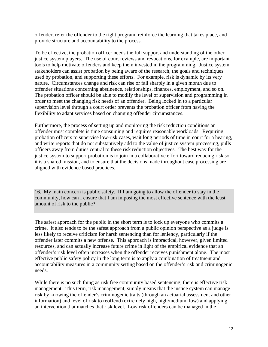offender, refer the offender to the right program, reinforce the learning that takes place, and provide structure and accountability to the process.

To be effective, the probation officer needs the full support and understanding of the other justice system players. The use of court reviews and revocations, for example, are important tools to help motivate offenders and keep them invested in the programming. Justice system stakeholders can assist probation by being aware of the research, the goals and techniques used by probation, and supporting these efforts. For example, risk is dynamic by its very nature. Circumstances change and risk can rise or fall sharply in a given month due to offender situations concerning abstinence, relationships, finances, employment, and so on. The probation officer should be able to modify the level of supervision and programming in order to meet the changing risk needs of an offender. Being locked in to a particular supervision level through a court order prevents the probation officer from having the flexibility to adapt services based on changing offender circumstances.

Furthermore, the process of setting up and monitoring the risk reduction conditions an offender must complete is time consuming and requires reasonable workloads. Requiring probation officers to supervise low-risk cases, wait long periods of time in court for a hearing, and write reports that do not substantively add to the value of justice system processing, pulls officers away from duties central to these risk reduction objectives. The best way for the justice system to support probation is to join in a collaborative effort toward reducing risk so it is a shared mission, and to ensure that the decisions made throughout case processing are aligned with evidence based practices.

16. My main concern is public safety. If I am going to allow the offender to stay in the community, how can I ensure that I am imposing the most effective sentence with the least amount of risk to the public?

The safest approach for the public in the short term is to lock up everyone who commits a crime. It also tends to be the safest approach from a public opinion perspective as a judge is less likely to receive criticism for harsh sentencing than for leniency, particularly if the offender later commits a new offense. This approach is impractical, however, given limited resources, and can actually increase future crime in light of the empirical evidence that an offender's risk level often increases when the offender receives punishment alone. The most effective public safety policy in the long term is to apply a combination of treatment and accountability measures in a community setting based on the offender's risk and criminogenic needs.

While there is no such thing as risk free community based sentencing, there is effective risk management. This term, risk management, simply means that the justice system can manage risk by knowing the offender's criminogenic traits (through an actuarial assessment and other information) and level of risk to reoffend (extremely high, high/medium, low) and applying an intervention that matches that risk level. Low risk offenders can be managed in the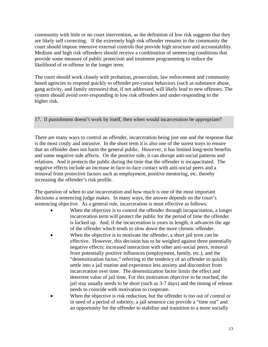community with little or no court intervention, as the definition of low risk suggests that they are likely self correcting. If the extremely high risk offender remains in the community the court should impose intensive external controls that provide high structure and accountability. Medium and high risk offenders should receive a combination of sentencing conditions that provide some measure of public protection and treatment programming to reduce the likelihood of re-offense in the longer term.

The court should work closely with probation, prosecution, law enforcement and community based agencies to respond quickly to offender pre-cursor behaviors (such as substance abuse, gang activity, and family stressors) that, if not addressed, will likely lead to new offenses. The system should avoid over-responding to low risk offenders and under-responding to the higher risk.

17. If punishment doesn't work by itself, then when would incarceration be appropriate?

There are many ways to control an offender, incarceration being just one and the response that is the most costly and intrusive. In the short term it is also one of the surest ways to ensure that an offender does not harm the general public. However, it has limited long-term benefits and some negative side affects. On the positive side, it can disrupt anti-social patterns and relations. And it protects the public during the time that the offender is incapacitated. The negative effects include an increase in face-to-face contact with anti-social peers and a removal from protective factors such as employment, positive mentoring, etc. thereby increasing the offender's risk profile.

The question of when to use incarceration and how much is one of the most important decisions a sentencing judge makes. In many ways, the answer depends on the court's sentencing objective. As a general rule, incarceration is most effective as follows:

- When the objective is to control the offender through incapacitation, a longer incarceration term will protect the public for the period of time the offender is locked up. And, if the incarceration is years in length, it advances the age of the offender which tends to slow down the more chronic offender.
- When the objective is to motivate the offender, a short jail term can be effective. However, this decision has to be weighed against three potentially negative effects: increased interaction with other anti-social peers, removal from potentially positive influences (employment, family, etc.), and the "desensitization factor," referring to the tendency of an offender to quickly settle into a jail routine and experience less anxiety and discomfort from incarceration over time. The desensitization factor limits the effect and deterrent value of jail time. For this motivation objective to be reached, the jail stay usually needs to be short (such as 3-7 days) and the timing of release needs to coincide with motivation to cooperate.
- When the objective is risk reduction, but the offender is too out of control or in need of a period of sobriety, a jail sentence can provide a "time out" and an opportunity for the offender to stabilize and transition to a more socially